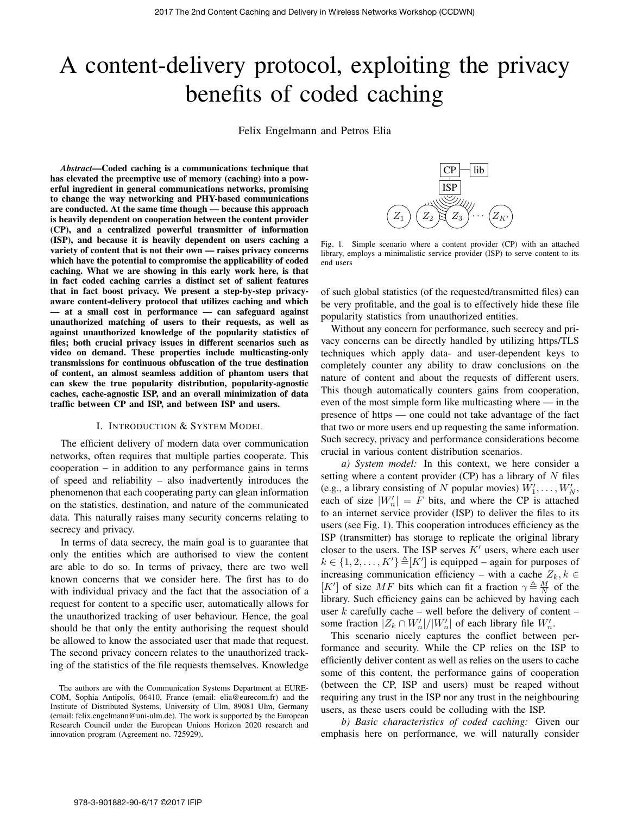# A content-delivery protocol, exploiting the privacy benefits of coded caching

Felix Engelmann and Petros Elia

*Abstract*—Coded caching is a communications technique that has elevated the preemptive use of memory (caching) into a powerful ingredient in general communications networks, promising to change the way networking and PHY-based communications are conducted. At the same time though — because this approach is heavily dependent on cooperation between the content provider (CP), and a centralized powerful transmitter of information (ISP), and because it is heavily dependent on users caching a variety of content that is not their own — raises privacy concerns which have the potential to compromise the applicability of coded caching. What we are showing in this early work here, is that in fact coded caching carries a distinct set of salient features that in fact boost privacy. We present a step-by-step privacyaware content-delivery protocol that utilizes caching and which — at a small cost in performance — can safeguard against unauthorized matching of users to their requests, as well as against unauthorized knowledge of the popularity statistics of files; both crucial privacy issues in different scenarios such as video on demand. These properties include multicasting-only transmissions for continuous obfuscation of the true destination of content, an almost seamless addition of phantom users that can skew the true popularity distribution, popularity-agnostic caches, cache-agnostic ISP, and an overall minimization of data traffic between CP and ISP, and between ISP and users.

#### I. INTRODUCTION & SYSTEM MODEL

The efficient delivery of modern data over communication networks, often requires that multiple parties cooperate. This cooperation – in addition to any performance gains in terms of speed and reliability – also inadvertently introduces the phenomenon that each cooperating party can glean information on the statistics, destination, and nature of the communicated data. This naturally raises many security concerns relating to secrecy and privacy.

In terms of data secrecy, the main goal is to guarantee that only the entities which are authorised to view the content are able to do so. In terms of privacy, there are two well known concerns that we consider here. The first has to do with individual privacy and the fact that the association of a request for content to a specific user, automatically allows for the unauthorized tracking of user behaviour. Hence, the goal should be that only the entity authorising the request should be allowed to know the associated user that made that request. The second privacy concern relates to the unauthorized tracking of the statistics of the file requests themselves. Knowledge



Fig. 1. Simple scenario where a content provider (CP) with an attached library, employs a minimalistic service provider (ISP) to serve content to its end users

of such global statistics (of the requested/transmitted files) can be very profitable, and the goal is to effectively hide these file popularity statistics from unauthorized entities.

Without any concern for performance, such secrecy and privacy concerns can be directly handled by utilizing https/TLS techniques which apply data- and user-dependent keys to completely counter any ability to draw conclusions on the nature of content and about the requests of different users. This though automatically counters gains from cooperation, even of the most simple form like multicasting where — in the presence of https — one could not take advantage of the fact that two or more users end up requesting the same information. Such secrecy, privacy and performance considerations become crucial in various content distribution scenarios.

*a) System model:* In this context, we here consider a setting where a content provider (CP) has a library of  $N$  files (e.g., a library consisting of N popular movies)  $W'_1, \ldots, W'_N$ , each of size  $|W'_n| = F$  bits, and where the CP is attached to an internet service provider (ISP) to deliver the files to its users (see Fig. 1). This cooperation introduces efficiency as the ISP (transmitter) has storage to replicate the original library closer to the users. The ISP serves  $K'$  users, where each user  $k \in \{1, 2, \ldots, K'\} \triangleq [K']$  is equipped – again for purposes of increasing communication efficiency – with a cache  $Z_k, k \in$ [K'] of size MF bits which can fit a fraction  $\gamma \triangleq \frac{M}{N}$  of the library. Such efficiency gains can be achieved by having each user  $k$  carefully cache – well before the delivery of content – some fraction  $|Z_k \cap W'_n|/|W'_n|$  of each library file  $W'_n$ .

This scenario nicely captures the conflict between performance and security. While the CP relies on the ISP to efficiently deliver content as well as relies on the users to cache some of this content, the performance gains of cooperation (between the CP, ISP and users) must be reaped without requiring any trust in the ISP nor any trust in the neighbouring users, as these users could be colluding with the ISP.

*b) Basic characteristics of coded caching:* Given our emphasis here on performance, we will naturally consider

The authors are with the Communication Systems Department at EURE-COM, Sophia Antipolis, 06410, France (email: elia@eurecom.fr) and the Institute of Distributed Systems, University of Ulm, 89081 Ulm, Germany (email: felix.engelmann@uni-ulm.de). The work is supported by the European Research Council under the European Unions Horizon 2020 research and innovation program (Agreement no. 725929).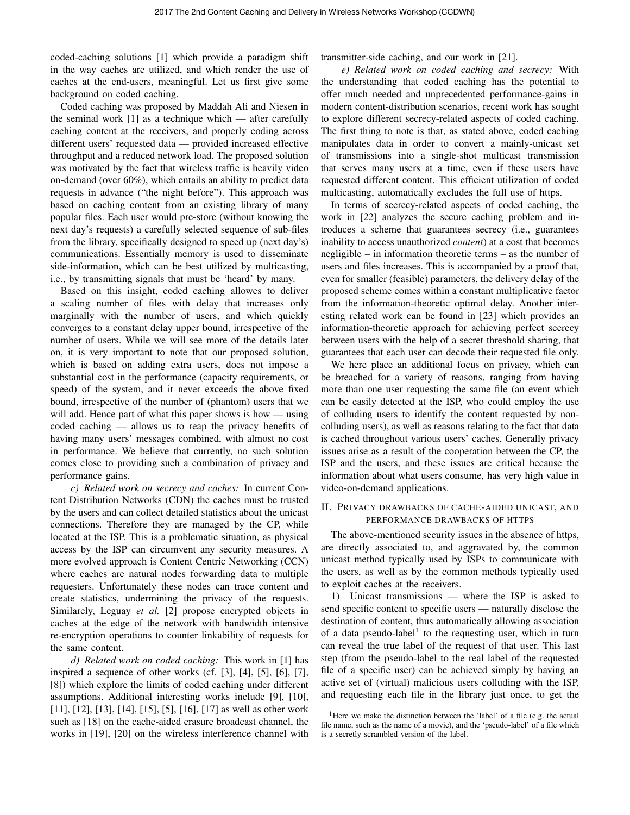coded-caching solutions [1] which provide a paradigm shift in the way caches are utilized, and which render the use of caches at the end-users, meaningful. Let us first give some background on coded caching.

Coded caching was proposed by Maddah Ali and Niesen in the seminal work [1] as a technique which — after carefully caching content at the receivers, and properly coding across different users' requested data — provided increased effective throughput and a reduced network load. The proposed solution was motivated by the fact that wireless traffic is heavily video on-demand (over 60%), which entails an ability to predict data requests in advance ("the night before"). This approach was based on caching content from an existing library of many popular files. Each user would pre-store (without knowing the next day's requests) a carefully selected sequence of sub-files from the library, specifically designed to speed up (next day's) communications. Essentially memory is used to disseminate side-information, which can be best utilized by multicasting, i.e., by transmitting signals that must be 'heard' by many.

Based on this insight, coded caching allowes to deliver a scaling number of files with delay that increases only marginally with the number of users, and which quickly converges to a constant delay upper bound, irrespective of the number of users. While we will see more of the details later on, it is very important to note that our proposed solution, which is based on adding extra users, does not impose a substantial cost in the performance (capacity requirements, or speed) of the system, and it never exceeds the above fixed bound, irrespective of the number of (phantom) users that we will add. Hence part of what this paper shows is how — using coded caching — allows us to reap the privacy benefits of having many users' messages combined, with almost no cost in performance. We believe that currently, no such solution comes close to providing such a combination of privacy and performance gains.

*c) Related work on secrecy and caches:* In current Content Distribution Networks (CDN) the caches must be trusted by the users and can collect detailed statistics about the unicast connections. Therefore they are managed by the CP, while located at the ISP. This is a problematic situation, as physical access by the ISP can circumvent any security measures. A more evolved approach is Content Centric Networking (CCN) where caches are natural nodes forwarding data to multiple requesters. Unfortunately these nodes can trace content and create statistics, undermining the privacy of the requests. Similarely, Leguay *et al.* [2] propose encrypted objects in caches at the edge of the network with bandwidth intensive re-encryption operations to counter linkability of requests for the same content.

*d) Related work on coded caching:* This work in [1] has inspired a sequence of other works (cf. [3], [4], [5], [6], [7], [8]) which explore the limits of coded caching under different assumptions. Additional interesting works include [9], [10], [11], [12], [13], [14], [15], [5], [16], [17] as well as other work such as [18] on the cache-aided erasure broadcast channel, the works in [19], [20] on the wireless interference channel with transmitter-side caching, and our work in [21].

*e) Related work on coded caching and secrecy:* With the understanding that coded caching has the potential to offer much needed and unprecedented performance-gains in modern content-distribution scenarios, recent work has sought to explore different secrecy-related aspects of coded caching. The first thing to note is that, as stated above, coded caching manipulates data in order to convert a mainly-unicast set of transmissions into a single-shot multicast transmission that serves many users at a time, even if these users have requested different content. This efficient utilization of coded multicasting, automatically excludes the full use of https.

In terms of secrecy-related aspects of coded caching, the work in [22] analyzes the secure caching problem and introduces a scheme that guarantees secrecy (i.e., guarantees inability to access unauthorized *content*) at a cost that becomes negligible – in information theoretic terms – as the number of users and files increases. This is accompanied by a proof that, even for smaller (feasible) parameters, the delivery delay of the proposed scheme comes within a constant multiplicative factor from the information-theoretic optimal delay. Another interesting related work can be found in [23] which provides an information-theoretic approach for achieving perfect secrecy between users with the help of a secret threshold sharing, that guarantees that each user can decode their requested file only.

We here place an additional focus on privacy, which can be breached for a variety of reasons, ranging from having more than one user requesting the same file (an event which can be easily detected at the ISP, who could employ the use of colluding users to identify the content requested by noncolluding users), as well as reasons relating to the fact that data is cached throughout various users' caches. Generally privacy issues arise as a result of the cooperation between the CP, the ISP and the users, and these issues are critical because the information about what users consume, has very high value in video-on-demand applications.

## II. PRIVACY DRAWBACKS OF CACHE-AIDED UNICAST, AND PERFORMANCE DRAWBACKS OF HTTPS

The above-mentioned security issues in the absence of https, are directly associated to, and aggravated by, the common unicast method typically used by ISPs to communicate with the users, as well as by the common methods typically used to exploit caches at the receivers.

1) Unicast transmissions — where the ISP is asked to send specific content to specific users — naturally disclose the destination of content, thus automatically allowing association of a data pseudo-label<sup>1</sup> to the requesting user, which in turn can reveal the true label of the request of that user. This last step (from the pseudo-label to the real label of the requested file of a specific user) can be achieved simply by having an active set of (virtual) malicious users colluding with the ISP, and requesting each file in the library just once, to get the

<sup>&</sup>lt;sup>1</sup>Here we make the distinction between the 'label' of a file (e.g. the actual file name, such as the name of a movie), and the 'pseudo-label' of a file which is a secretly scrambled version of the label.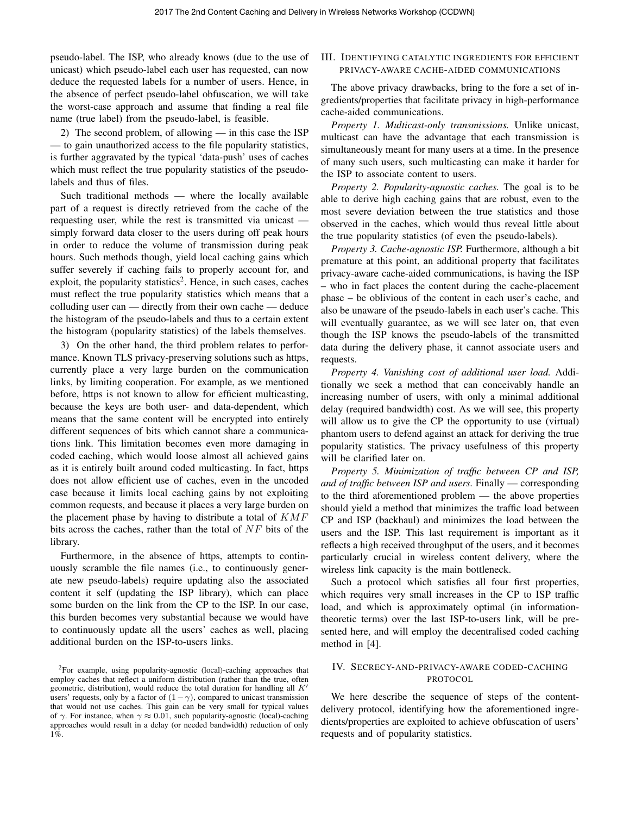pseudo-label. The ISP, who already knows (due to the use of unicast) which pseudo-label each user has requested, can now deduce the requested labels for a number of users. Hence, in the absence of perfect pseudo-label obfuscation, we will take the worst-case approach and assume that finding a real file name (true label) from the pseudo-label, is feasible.

2) The second problem, of allowing — in this case the ISP — to gain unauthorized access to the file popularity statistics, is further aggravated by the typical 'data-push' uses of caches which must reflect the true popularity statistics of the pseudolabels and thus of files.

Such traditional methods — where the locally available part of a request is directly retrieved from the cache of the requesting user, while the rest is transmitted via unicast simply forward data closer to the users during off peak hours in order to reduce the volume of transmission during peak hours. Such methods though, yield local caching gains which suffer severely if caching fails to properly account for, and exploit, the popularity statistics<sup>2</sup>. Hence, in such cases, caches must reflect the true popularity statistics which means that a colluding user can — directly from their own cache — deduce the histogram of the pseudo-labels and thus to a certain extent the histogram (popularity statistics) of the labels themselves.

3) On the other hand, the third problem relates to performance. Known TLS privacy-preserving solutions such as https, currently place a very large burden on the communication links, by limiting cooperation. For example, as we mentioned before, https is not known to allow for efficient multicasting, because the keys are both user- and data-dependent, which means that the same content will be encrypted into entirely different sequences of bits which cannot share a communications link. This limitation becomes even more damaging in coded caching, which would loose almost all achieved gains as it is entirely built around coded multicasting. In fact, https does not allow efficient use of caches, even in the uncoded case because it limits local caching gains by not exploiting common requests, and because it places a very large burden on the placement phase by having to distribute a total of  $KMF$ bits across the caches, rather than the total of  $NF$  bits of the library.

Furthermore, in the absence of https, attempts to continuously scramble the file names (i.e., to continuously generate new pseudo-labels) require updating also the associated content it self (updating the ISP library), which can place some burden on the link from the CP to the ISP. In our case, this burden becomes very substantial because we would have to continuously update all the users' caches as well, placing additional burden on the ISP-to-users links.

## III. IDENTIFYING CATALYTIC INGREDIENTS FOR EFFICIENT PRIVACY-AWARE CACHE-AIDED COMMUNICATIONS

The above privacy drawbacks, bring to the fore a set of ingredients/properties that facilitate privacy in high-performance cache-aided communications.

*Property 1. Multicast-only transmissions.* Unlike unicast, multicast can have the advantage that each transmission is simultaneously meant for many users at a time. In the presence of many such users, such multicasting can make it harder for the ISP to associate content to users.

*Property 2. Popularity-agnostic caches.* The goal is to be able to derive high caching gains that are robust, even to the most severe deviation between the true statistics and those observed in the caches, which would thus reveal little about the true popularity statistics (of even the pseudo-labels).

*Property 3. Cache-agnostic ISP.* Furthermore, although a bit premature at this point, an additional property that facilitates privacy-aware cache-aided communications, is having the ISP – who in fact places the content during the cache-placement phase – be oblivious of the content in each user's cache, and also be unaware of the pseudo-labels in each user's cache. This will eventually guarantee, as we will see later on, that even though the ISP knows the pseudo-labels of the transmitted data during the delivery phase, it cannot associate users and requests.

*Property 4. Vanishing cost of additional user load.* Additionally we seek a method that can conceivably handle an increasing number of users, with only a minimal additional delay (required bandwidth) cost. As we will see, this property will allow us to give the CP the opportunity to use (virtual) phantom users to defend against an attack for deriving the true popularity statistics. The privacy usefulness of this property will be clarified later on.

*Property 5. Minimization of traffic between CP and ISP, and of traffic between ISP and users.* Finally — corresponding to the third aforementioned problem — the above properties should yield a method that minimizes the traffic load between CP and ISP (backhaul) and minimizes the load between the users and the ISP. This last requirement is important as it reflects a high received throughput of the users, and it becomes particularly crucial in wireless content delivery, where the wireless link capacity is the main bottleneck.

Such a protocol which satisfies all four first properties, which requires very small increases in the CP to ISP traffic load, and which is approximately optimal (in informationtheoretic terms) over the last ISP-to-users link, will be presented here, and will employ the decentralised coded caching method in [4].

# IV. SECRECY-AND-PRIVACY-AWARE CODED-CACHING PROTOCOL

We here describe the sequence of steps of the contentdelivery protocol, identifying how the aforementioned ingredients/properties are exploited to achieve obfuscation of users' requests and of popularity statistics.

<sup>2</sup>For example, using popularity-agnostic (local)-caching approaches that employ caches that reflect a uniform distribution (rather than the true, often geometric, distribution), would reduce the total duration for handling all  $K'$ users' requests, only by a factor of  $(1-\gamma)$ , compared to unicast transmission that would not use caches. This gain can be very small for typical values of  $\gamma$ . For instance, when  $\gamma \approx 0.01$ , such popularity-agnostic (local)-caching approaches would result in a delay (or needed bandwidth) reduction of only  $1\%$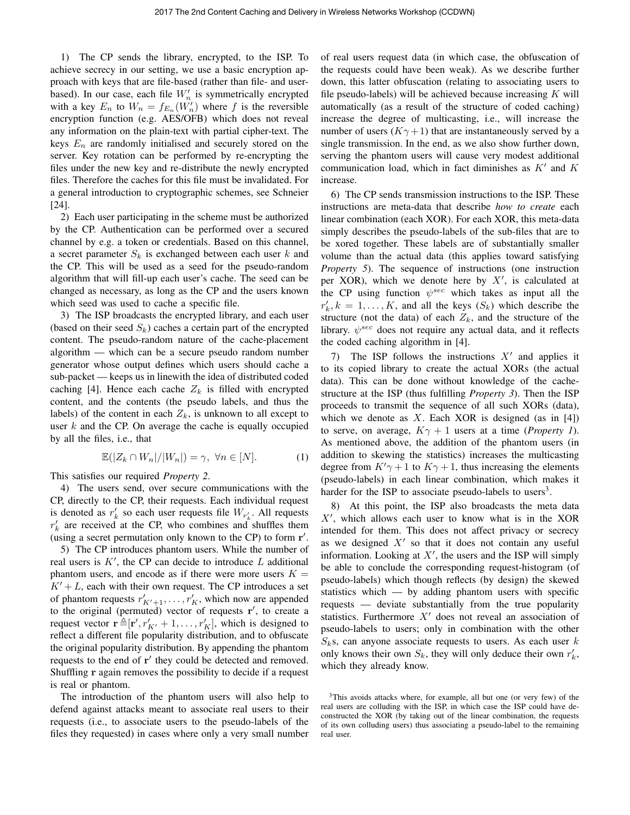1) The CP sends the library, encrypted, to the ISP. To achieve secrecy in our setting, we use a basic encryption approach with keys that are file-based (rather than file- and userbased). In our case, each file  $W'_n$  is symmetrically encrypted with a key  $E_n$  to  $W_n = f_{E_n}(W'_n)$  where f is the reversible encryption function (e.g. AES/OFB) which does not reveal any information on the plain-text with partial cipher-text. The keys  $E_n$  are randomly initialised and securely stored on the server. Key rotation can be performed by re-encrypting the files under the new key and re-distribute the newly encrypted files. Therefore the caches for this file must be invalidated. For a general introduction to cryptographic schemes, see Schneier [24].

2) Each user participating in the scheme must be authorized by the CP. Authentication can be performed over a secured channel by e.g. a token or credentials. Based on this channel, a secret parameter  $S_k$  is exchanged between each user k and the CP. This will be used as a seed for the pseudo-random algorithm that will fill-up each user's cache. The seed can be changed as necessary, as long as the CP and the users known which seed was used to cache a specific file.

3) The ISP broadcasts the encrypted library, and each user (based on their seed  $S_k$ ) caches a certain part of the encrypted content. The pseudo-random nature of the cache-placement algorithm — which can be a secure pseudo random number generator whose output defines which users should cache a sub-packet — keeps us in linewith the idea of distributed coded caching [4]. Hence each cache  $Z_k$  is filled with encrypted content, and the contents (the pseudo labels, and thus the labels) of the content in each  $Z_k$ , is unknown to all except to user  $k$  and the CP. On average the cache is equally occupied by all the files, i.e., that

$$
\mathbb{E}(|Z_k \cap W_n|/|W_n|) = \gamma, \ \forall n \in [N]. \tag{1}
$$

This satisfies our required *Property 2*.

4) The users send, over secure communications with the CP, directly to the CP, their requests. Each individual request is denoted as  $r'_k$  so each user requests file  $W_{r'_k}$ . All requests  $r'_{k}$  are received at the CP, who combines and shuffles them (using a secret permutation only known to the CP) to form  $r'$ .

5) The CP introduces phantom users. While the number of real users is  $K'$ , the CP can decide to introduce  $L$  additional phantom users, and encode as if there were more users  $K =$  $K' + L$ , each with their own request. The CP introduces a set of phantom requests  $r'_{K'+1}, \ldots, r'_{K}$ , which now are appended to the original (permuted) vector of requests  $\mathbf{r}'$ , to create a request vector  $\mathbf{r} \triangleq [\mathbf{r}', r'_{K'} + 1, \dots, r'_{K}].$  which is designed to reflect a different file popularity distribution, and to obfuscate the original popularity distribution. By appending the phantom requests to the end of  $r'$  they could be detected and removed. Shuffling r again removes the possibility to decide if a request is real or phantom.

The introduction of the phantom users will also help to defend against attacks meant to associate real users to their requests (i.e., to associate users to the pseudo-labels of the files they requested) in cases where only a very small number of real users request data (in which case, the obfuscation of the requests could have been weak). As we describe further down, this latter obfuscation (relating to associating users to file pseudo-labels) will be achieved because increasing  $K$  will automatically (as a result of the structure of coded caching) increase the degree of multicasting, i.e., will increase the number of users  $(K\gamma + 1)$  that are instantaneously served by a single transmission. In the end, as we also show further down, serving the phantom users will cause very modest additional communication load, which in fact diminishes as  $K'$  and  $K$ increase.

6) The CP sends transmission instructions to the ISP. These instructions are meta-data that describe *how to create* each linear combination (each XOR). For each XOR, this meta-data simply describes the pseudo-labels of the sub-files that are to be xored together. These labels are of substantially smaller volume than the actual data (this applies toward satisfying *Property 5*). The sequence of instructions (one instruction per XOR), which we denote here by  $X'$ , is calculated at the CP using function  $\psi^{sec}$  which takes as input all the  $r'_{k}, k = 1, \ldots, K$ , and all the keys  $(S_{k})$  which describe the structure (not the data) of each  $Z_k$ , and the structure of the library.  $\psi^{sec}$  does not require any actual data, and it reflects the coded caching algorithm in [4].

7) The ISP follows the instructions  $X'$  and applies it to its copied library to create the actual XORs (the actual data). This can be done without knowledge of the cachestructure at the ISP (thus fulfilling *Property 3*). Then the ISP proceeds to transmit the sequence of all such XORs (data), which we denote as X. Each XOR is designed (as in  $[4]$ ) to serve, on average,  $K\gamma + 1$  users at a time (*Property 1*). As mentioned above, the addition of the phantom users (in addition to skewing the statistics) increases the multicasting degree from  $K'\gamma + 1$  to  $K\gamma + 1$ , thus increasing the elements (pseudo-labels) in each linear combination, which makes it harder for the ISP to associate pseudo-labels to users<sup>3</sup>.

8) At this point, the ISP also broadcasts the meta data  $X'$ , which allows each user to know what is in the XOR intended for them. This does not affect privacy or secrecy as we designed  $X'$  so that it does not contain any useful information. Looking at  $X'$ , the users and the ISP will simply be able to conclude the corresponding request-histogram (of pseudo-labels) which though reflects (by design) the skewed statistics which — by adding phantom users with specific requests — deviate substantially from the true popularity statistics. Furthermore  $X'$  does not reveal an association of pseudo-labels to users; only in combination with the other  $S_k$ s, can anyone associate requests to users. As each user k only knows their own  $S_k$ , they will only deduce their own  $r'_k$ , which they already know.

<sup>&</sup>lt;sup>3</sup>This avoids attacks where, for example, all but one (or very few) of the real users are colluding with the ISP, in which case the ISP could have deconstructed the XOR (by taking out of the linear combination, the requests of its own colluding users) thus associating a pseudo-label to the remaining real user.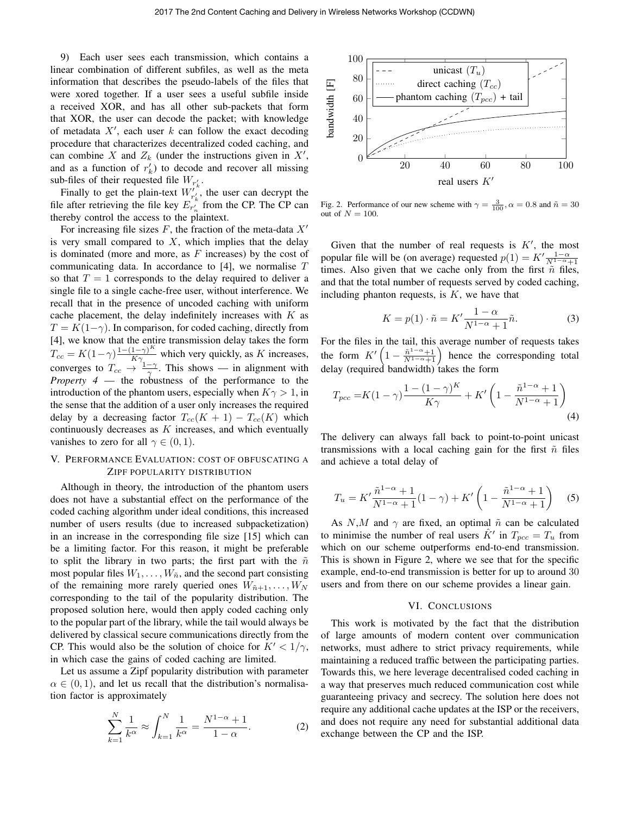9) Each user sees each transmission, which contains a linear combination of different subfiles, as well as the meta information that describes the pseudo-labels of the files that were xored together. If a user sees a useful subfile inside a received XOR, and has all other sub-packets that form that XOR, the user can decode the packet; with knowledge of metadata  $X'$ , each user k can follow the exact decoding procedure that characterizes decentralized coded caching, and can combine X and  $Z_k$  (under the instructions given in  $X'$ , and as a function of  $r'_k$ ) to decode and recover all missing sub-files of their requested file  $W_{r'_k}$ .

Finally to get the plain-text  $W_{r'_k}^{t^k}$ , the user can decrypt the file after retrieving the file key  $E_{r_n}^{\dagger}$  from the CP. The CP can thereby control the access to the plaintext.

For increasing file sizes  $F$ , the fraction of the meta-data  $X'$ is very small compared to  $X$ , which implies that the delay is dominated (more and more, as  $F$  increases) by the cost of communicating data. In accordance to  $[4]$ , we normalise  $T$ so that  $T = 1$  corresponds to the delay required to deliver a single file to a single cache-free user, without interference. We recall that in the presence of uncoded caching with uniform cache placement, the delay indefinitely increases with  $K$  as  $T = K(1-\gamma)$ . In comparison, for coded caching, directly from [4], we know that the entire transmission delay takes the form  $T_{cc} = K(1-\gamma)\frac{1-(1-\gamma)^K}{K\gamma}$  which very quickly, as K increases, converges to  $T_{cc} \rightarrow \frac{1-\gamma}{\gamma}$ . This shows — in alignment with *Property 4* — the robustness of the performance to the introduction of the phantom users, especially when  $K\gamma > 1$ , in the sense that the addition of a user only increases the required delay by a decreasing factor  $T_{cc}(K + 1) - T_{cc}(K)$  which continuously decreases as  $K$  increases, and which eventually vanishes to zero for all  $\gamma \in (0,1)$ .

# V. PERFORMANCE EVALUATION: COST OF OBFUSCATING A ZIPF POPULARITY DISTRIBUTION

Although in theory, the introduction of the phantom users does not have a substantial effect on the performance of the coded caching algorithm under ideal conditions, this increased number of users results (due to increased subpacketization) in an increase in the corresponding file size [15] which can be a limiting factor. For this reason, it might be preferable to split the library in two parts; the first part with the  $\tilde{n}$ most popular files  $W_1, \ldots, W_{\tilde{n}}$ , and the second part consisting of the remaining more rarely queried ones  $W_{n+1}, \ldots, W_N$ corresponding to the tail of the popularity distribution. The proposed solution here, would then apply coded caching only to the popular part of the library, while the tail would always be delivered by classical secure communications directly from the CP. This would also be the solution of choice for  $K' < 1/\gamma$ , in which case the gains of coded caching are limited.

Let us assume a Zipf popularity distribution with parameter  $\alpha \in (0,1)$ , and let us recall that the distribution's normalisation factor is approximately

$$
\sum_{k=1}^{N} \frac{1}{k^{\alpha}} \approx \int_{k=1}^{N} \frac{1}{k^{\alpha}} = \frac{N^{1-\alpha} + 1}{1 - \alpha}.
$$
 (2)



Fig. 2. Performance of our new scheme with  $\gamma = \frac{3}{100}$ ,  $\alpha = 0.8$  and  $\tilde{n} = 30$ out of  $N = 100$ .

Given that the number of real requests is  $K'$ , the most popular file will be (on average) requested  $p(1) = K' \frac{1-\alpha}{N^{1-\alpha}+1}$ times. Also given that we cache only from the first  $\tilde{n}$  files, and that the total number of requests served by coded caching, including phanton requests, is  $K$ , we have that

$$
K = p(1) \cdot \tilde{n} = K' \frac{1 - \alpha}{N^{1 - \alpha} + 1} \tilde{n}.
$$
 (3)

For the files in the tail, this average number of requests takes the form  $K' \left(1 - \frac{\tilde{n}^{1-\alpha}+1}{N^{1-\alpha}+1}\right)$  hence the corresponding total delay (required bandwidth) takes the form

$$
T_{pcc} = K(1-\gamma)\frac{1-(1-\gamma)^K}{K\gamma} + K'\left(1 - \frac{\tilde{n}^{1-\alpha}+1}{N^{1-\alpha}+1}\right)
$$
\n(4)

The delivery can always fall back to point-to-point unicast transmissions with a local caching gain for the first  $\tilde{n}$  files and achieve a total delay of

$$
T_u = K' \frac{\tilde{n}^{1-\alpha} + 1}{N^{1-\alpha} + 1} (1 - \gamma) + K' \left( 1 - \frac{\tilde{n}^{1-\alpha} + 1}{N^{1-\alpha} + 1} \right) \tag{5}
$$

As N,M and  $\gamma$  are fixed, an optimal  $\tilde{n}$  can be calculated to minimise the number of real users  $\hat{K}'$  in  $T_{pcc} = T_u$  from which on our scheme outperforms end-to-end transmission. This is shown in Figure 2, where we see that for the specific example, end-to-end transmission is better for up to around 30 users and from there on our scheme provides a linear gain.

## VI. CONCLUSIONS

This work is motivated by the fact that the distribution of large amounts of modern content over communication networks, must adhere to strict privacy requirements, while maintaining a reduced traffic between the participating parties. Towards this, we here leverage decentralised coded caching in a way that preserves much reduced communication cost while guaranteeing privacy and secrecy. The solution here does not require any additional cache updates at the ISP or the receivers, and does not require any need for substantial additional data exchange between the CP and the ISP.